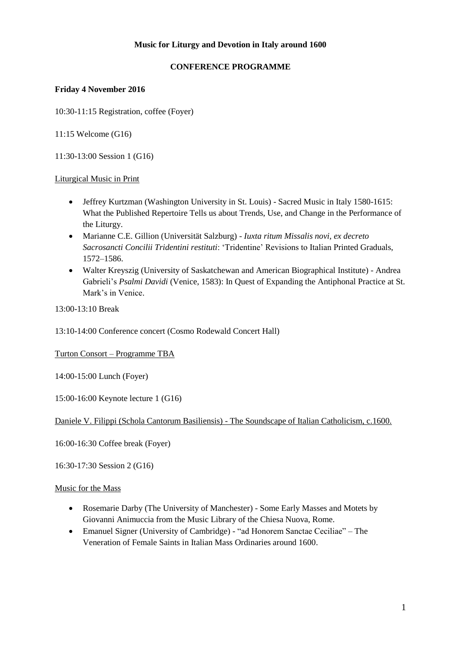## **Music for Liturgy and Devotion in Italy around 1600**

# **CONFERENCE PROGRAMME**

## **Friday 4 November 2016**

10:30-11:15 Registration, coffee (Foyer)

11:15 Welcome (G16)

11:30-13:00 Session 1 (G16)

#### Liturgical Music in Print

- Jeffrey Kurtzman (Washington University in St. Louis) Sacred Music in Italy 1580-1615: What the Published Repertoire Tells us about Trends, Use, and Change in the Performance of the Liturgy.
- Marianne C.E. Gillion (Universität Salzburg) *Iuxta ritum Missalis novi, ex decreto Sacrosancti Concilii Tridentini restituti*: 'Tridentine' Revisions to Italian Printed Graduals, 1572–1586.
- Walter Kreyszig (University of Saskatchewan and American Biographical Institute) Andrea Gabrieli's *Psalmi Davidi* (Venice, 1583): In Quest of Expanding the Antiphonal Practice at St. Mark's in Venice.

13:00-13:10 Break

13:10-14:00 Conference concert (Cosmo Rodewald Concert Hall)

#### Turton Consort – Programme TBA

14:00-15:00 Lunch (Foyer)

15:00-16:00 Keynote lecture 1 (G16)

#### Daniele V. Filippi (Schola Cantorum Basiliensis) - The Soundscape of Italian Catholicism, c.1600.

16:00-16:30 Coffee break (Foyer)

16:30-17:30 Session 2 (G16)

#### Music for the Mass

- Rosemarie Darby (The University of Manchester) Some Early Masses and Motets by Giovanni Animuccia from the Music Library of the Chiesa Nuova, Rome.
- Emanuel Signer (University of Cambridge) "ad Honorem Sanctae Ceciliae" The Veneration of Female Saints in Italian Mass Ordinaries around 1600.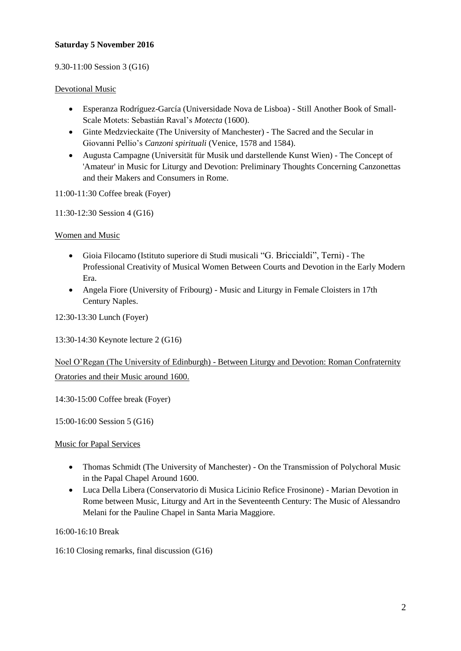#### **Saturday 5 November 2016**

#### 9.30-11:00 Session 3 (G16)

#### Devotional Music

- Esperanza Rodríguez-García (Universidade Nova de Lisboa) Still Another Book of Small-Scale Motets: Sebastián Raval's *Motecta* (1600).
- Ginte Medzvieckaite (The University of Manchester) The Sacred and the Secular in Giovanni Pellio's *Canzoni spirituali* (Venice, 1578 and 1584).
- Augusta Campagne (Universität für Musik und darstellende Kunst Wien) The Concept of 'Amateur' in Music for Liturgy and Devotion: Preliminary Thoughts Concerning Canzonettas and their Makers and Consumers in Rome.

11:00-11:30 Coffee break (Foyer)

11:30-12:30 Session 4 (G16)

#### Women and Music

- Gioia Filocamo (Istituto superiore di Studi musicali "G. Briccialdi", Terni) The Professional Creativity of Musical Women Between Courts and Devotion in the Early Modern Era.
- Angela Fiore (University of Fribourg) Music and Liturgy in Female Cloisters in 17th Century Naples.

12:30-13:30 Lunch (Foyer)

13:30-14:30 Keynote lecture 2 (G16)

# Noel O'Regan (The University of Edinburgh) - Between Liturgy and Devotion: Roman Confraternity Oratories and their Music around 1600.

14:30-15:00 Coffee break (Foyer)

15:00-16:00 Session 5 (G16)

Music for Papal Services

- Thomas Schmidt (The University of Manchester) On the Transmission of Polychoral Music in the Papal Chapel Around 1600.
- Luca Della Libera (Conservatorio di Musica Licinio Refice Frosinone) Marian Devotion in Rome between Music, Liturgy and Art in the Seventeenth Century: The Music of Alessandro Melani for the Pauline Chapel in Santa Maria Maggiore.

16:00-16:10 Break

16:10 Closing remarks, final discussion (G16)